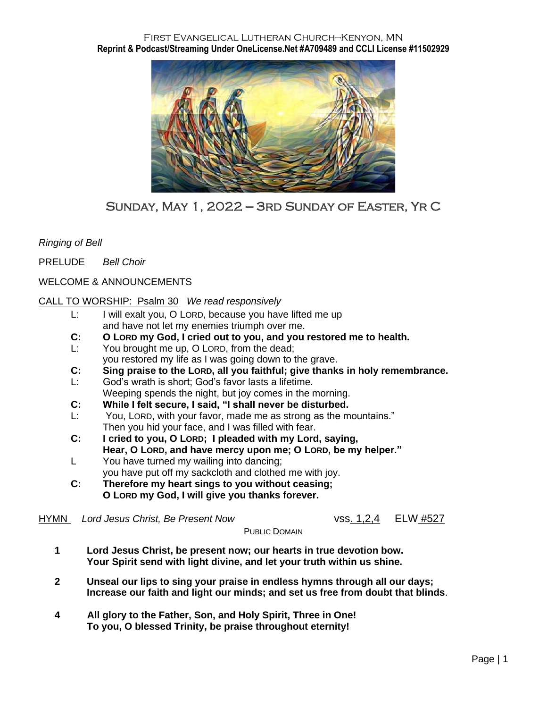First Evangelical Lutheran Church—Kenyon, MN **Reprint & Podcast/Streaming Under OneLicense.Net #A709489 and CCLI License #11502929**



# Sunday, May 1, 2022 — 3rd Sunday of Easter, Yr C

*Ringing of Bell*

PRELUDE *Bell Choir*

# WELCOME & ANNOUNCEMENTS

# CALL TO WORSHIP: Psalm 30 *We read responsively*

- L: I will exalt you, O LORD, because you have lifted me up and have not let my enemies triumph over me.
- **C: O LORD my God, I cried out to you, and you restored me to health.**
- L: You brought me up, O LORD, from the dead;
- you restored my life as I was going down to the grave.
- **C: Sing praise to the LORD, all you faithful; give thanks in holy remembrance.**
- L: God's wrath is short; God's favor lasts a lifetime. Weeping spends the night, but joy comes in the morning.
- **C: While I felt secure, I said, "I shall never be disturbed.**
- L: You, LORD, with your favor, made me as strong as the mountains." Then you hid your face, and I was filled with fear.
- **C: I cried to you, O LORD; I pleaded with my Lord, saying, Hear, O LORD, and have mercy upon me; O LORD, be my helper."**
- L You have turned my wailing into dancing; you have put off my sackcloth and clothed me with joy.
- **C: Therefore my heart sings to you without ceasing; O LORD my God, I will give you thanks forever.**

HYMN *Lord Jesus Christ, Be Present Now* vss. 1,2,4 ELW #527

- PUBLIC DOMAIN
- **1 Lord Jesus Christ, be present now; our hearts in true devotion bow. Your Spirit send with light divine, and let your truth within us shine.**
- **2 Unseal our lips to sing your praise in endless hymns through all our days; Increase our faith and light our minds; and set us free from doubt that blinds**.
- **4 All glory to the Father, Son, and Holy Spirit, Three in One! To you, O blessed Trinity, be praise throughout eternity!**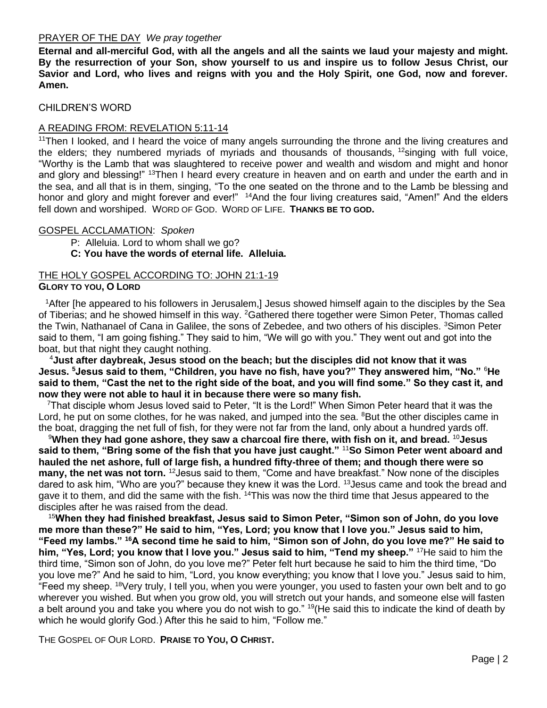#### PRAYER OF THE DAY *We pray together*

**Eternal and all-merciful God, with all the angels and all the saints we laud your majesty and might. By the resurrection of your Son, show yourself to us and inspire us to follow Jesus Christ, our Savior and Lord, who lives and reigns with you and the Holy Spirit, one God, now and forever. Amen.**

#### CHILDREN'S WORD

#### A READING FROM: REVELATION 5:11-14

<sup>11</sup>Then I looked, and I heard the voice of many angels surrounding the throne and the living creatures and the elders; they numbered myriads of myriads and thousands of thousands,  $12$  singing with full voice, "Worthy is the Lamb that was slaughtered to receive power and wealth and wisdom and might and honor and glory and blessing!" <sup>13</sup>Then I heard every creature in heaven and on earth and under the earth and in the sea, and all that is in them, singing, "To the one seated on the throne and to the Lamb be blessing and honor and glory and might forever and ever!" <sup>14</sup>And the four living creatures said, "Amen!" And the elders fell down and worshiped. WORD OF GOD. WORD OF LIFE. **THANKS BE TO GOD.**

#### GOSPEL ACCLAMATION: *Spoken*

- P: Alleluia. Lord to whom shall we go?
- **C: You have the words of eternal life. Alleluia.**

# THE HOLY GOSPEL ACCORDING TO: JOHN 21:1-19

# **GLORY TO YOU, O LORD**

<sup>1</sup>After [he appeared to his followers in Jerusalem,] Jesus showed himself again to the disciples by the Sea of Tiberias; and he showed himself in this way. <sup>2</sup>Gathered there together were Simon Peter, Thomas called the Twin, Nathanael of Cana in Galilee, the sons of Zebedee, and two others of his disciples. <sup>3</sup>Simon Peter said to them, "I am going fishing." They said to him, "We will go with you." They went out and got into the boat, but that night they caught nothing.

<sup>4</sup>**Just after daybreak, Jesus stood on the beach; but the disciples did not know that it was Jesus. <sup>5</sup>Jesus said to them, "Children, you have no fish, have you?" They answered him, "No."** <sup>6</sup>**He said to them, "Cast the net to the right side of the boat, and you will find some." So they cast it, and now they were not able to haul it in because there were so many fish.**

<sup>7</sup>That disciple whom Jesus loved said to Peter, "It is the Lord!" When Simon Peter heard that it was the Lord, he put on some clothes, for he was naked, and jumped into the sea. <sup>8</sup>But the other disciples came in the boat, dragging the net full of fish, for they were not far from the land, only about a hundred yards off.

<sup>9</sup>**When they had gone ashore, they saw a charcoal fire there, with fish on it, and bread.** <sup>10</sup>**Jesus said to them, "Bring some of the fish that you have just caught."** <sup>11</sup>**So Simon Peter went aboard and hauled the net ashore, full of large fish, a hundred fifty-three of them; and though there were so many, the net was not torn.** <sup>12</sup> Jesus said to them, "Come and have breakfast." Now none of the disciples dared to ask him, "Who are you?" because they knew it was the Lord. <sup>13</sup> Jesus came and took the bread and gave it to them, and did the same with the fish. <sup>14</sup>This was now the third time that Jesus appeared to the disciples after he was raised from the dead.

<sup>15</sup>**When they had finished breakfast, Jesus said to Simon Peter, "Simon son of John, do you love me more than these?" He said to him, "Yes, Lord; you know that I love you." Jesus said to him, "Feed my lambs." <sup>16</sup>A second time he said to him, "Simon son of John, do you love me?" He said to him, "Yes, Lord; you know that I love you." Jesus said to him, "Tend my sheep."** <sup>17</sup>He said to him the third time, "Simon son of John, do you love me?" Peter felt hurt because he said to him the third time, "Do you love me?" And he said to him, "Lord, you know everything; you know that I love you." Jesus said to him, "Feed my sheep. <sup>18</sup>Very truly, I tell you, when you were younger, you used to fasten your own belt and to go wherever you wished. But when you grow old, you will stretch out your hands, and someone else will fasten a belt around you and take you where you do not wish to go." <sup>19</sup> (He said this to indicate the kind of death by which he would glorify God.) After this he said to him, "Follow me."

THE GOSPEL OF OUR LORD. **PRAISE TO YOU, O CHRIST.**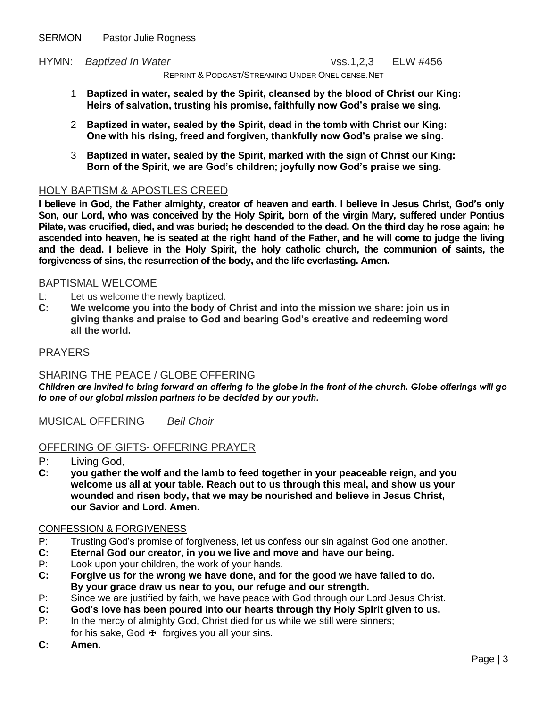HYMN: *Baptized In Water* vss.1,2,3 ELW #456

REPRINT & PODCAST/STREAMING UNDER ONELICENSE.NET

- 1 **Baptized in water, sealed by the Spirit, cleansed by the blood of Christ our King: Heirs of salvation, trusting his promise, faithfully now God's praise we sing.**
- 2 **Baptized in water, sealed by the Spirit, dead in the tomb with Christ our King: One with his rising, freed and forgiven, thankfully now God's praise we sing.**
- 3 **Baptized in water, sealed by the Spirit, marked with the sign of Christ our King: Born of the Spirit, we are God's children; joyfully now God's praise we sing.**

# HOLY BAPTISM & APOSTLES CREED

**I believe in God, the Father almighty, creator of heaven and earth. I believe in Jesus Christ, God's only Son, our Lord, who was conceived by the Holy Spirit, born of the virgin Mary, suffered under Pontius Pilate, was crucified, died, and was buried; he descended to the dead. On the third day he rose again; he ascended into heaven, he is seated at the right hand of the Father, and he will come to judge the living and the dead. I believe in the Holy Spirit, the holy catholic church, the communion of saints, the forgiveness of sins, the resurrection of the body, and the life everlasting. Amen.**

## BAPTISMAL WELCOME

- L: Let us welcome the newly baptized.
- **C: We welcome you into the body of Christ and into the mission we share: join us in giving thanks and praise to God and bearing God's creative and redeeming word all the world.**

#### PRAYERS

# SHARING THE PEACE / GLOBE OFFERING

*Children are invited to bring forward an offering to the globe in the front of the church. Globe offerings will go to one of our global mission partners to be decided by our youth.*

MUSICAL OFFERING *Bell Choir*

# OFFERING OF GIFTS- OFFERING PRAYER

- P: Living God,
- **C: you gather the wolf and the lamb to feed together in your peaceable reign, and you welcome us all at your table. Reach out to us through this meal, and show us your wounded and risen body, that we may be nourished and believe in Jesus Christ, our Savior and Lord. Amen.**

#### CONFESSION & FORGIVENESS

- P: Trusting God's promise of forgiveness, let us confess our sin against God one another.
- **C: Eternal God our creator, in you we live and move and have our being.**
- P: Look upon your children, the work of your hands.
- **C: Forgive us for the wrong we have done, and for the good we have failed to do. By your grace draw us near to you, our refuge and our strength.**
- P: Since we are justified by faith, we have peace with God through our Lord Jesus Christ.
- **C: God's love has been poured into our hearts through thy Holy Spirit given to us.**
- P: In the mercy of almighty God, Christ died for us while we still were sinners; for his sake, God  $+$  forgives you all your sins.
- **C: Amen.**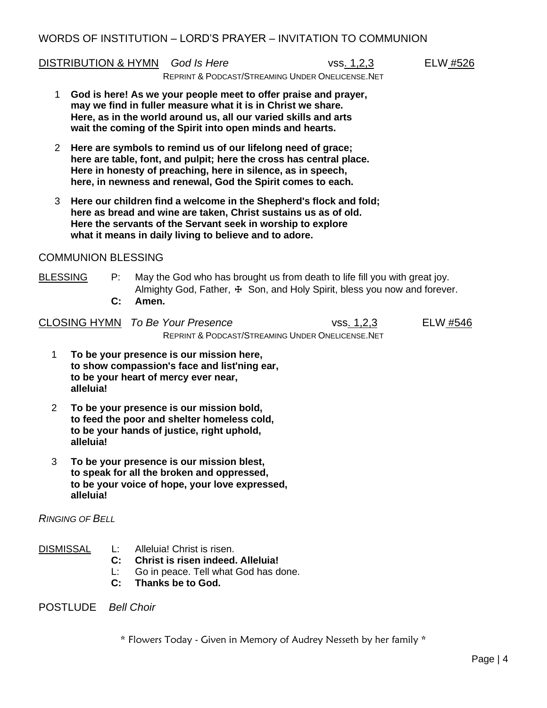# WORDS OF INSTITUTION – LORD'S PRAYER – INVITATION TO COMMUNION

# DISTRIBUTION & HYMN *God Is Here* vss. 1,2,3 ELW #526

REPRINT & PODCAST/STREAMING UNDER ONELICENSE.NET

- 1 **God is here! As we your people meet to offer praise and prayer, may we find in fuller measure what it is in Christ we share. Here, as in the world around us, all our varied skills and arts wait the coming of the Spirit into open minds and hearts.**
- 2 **Here are symbols to remind us of our lifelong need of grace; here are table, font, and pulpit; here the cross has central place. Here in honesty of preaching, here in silence, as in speech, here, in newness and renewal, God the Spirit comes to each.**
- 3 **Here our children find a welcome in the Shepherd's flock and fold; here as bread and wine are taken, Christ sustains us as of old. Here the servants of the Servant seek in worship to explore what it means in daily living to believe and to adore.**

# COMMUNION BLESSING

# BLESSING P: May the God who has brought us from death to life fill you with great joy. Almighty God, Father, ⊕ Son, and Holy Spirit, bless you now and forever.  **C: Amen.**

CLOSING HYMN *To Be Your Presence* vss. 1,2,3 ELW #546 REPRINT & PODCAST/STREAMING UNDER ONELICENSE.NET

- 1 **To be your presence is our mission here, to show compassion's face and list'ning ear, to be your heart of mercy ever near, alleluia!**
- 2 **To be your presence is our mission bold, to feed the poor and shelter homeless cold, to be your hands of justice, right uphold, alleluia!**
- 3 **To be your presence is our mission blest, to speak for all the broken and oppressed, to be your voice of hope, your love expressed, alleluia!**

# *RINGING OF BELL*

- DISMISSAL L: Alleluia! Christ is risen.
	- **C: Christ is risen indeed. Alleluia!**
	- L: Go in peace. Tell what God has done.
	- **C: Thanks be to God.**
- POSTLUDE *Bell Choir*

\* Flowers Today - Given in Memory of Audrey Nesseth by her family \*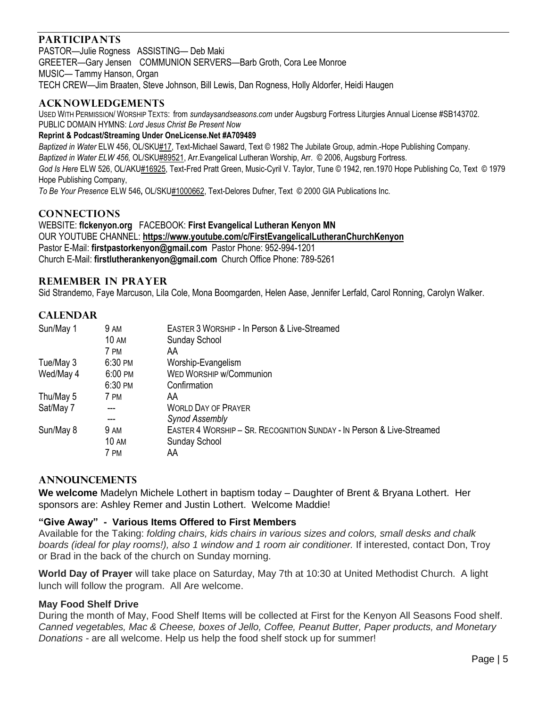# **PARTICIPANTS**

PASTOR—Julie Rogness ASSISTING— Deb Maki GREETER—Gary Jensen COMMUNION SERVERS—Barb Groth, Cora Lee Monroe MUSIC— Tammy Hanson, Organ TECH CREW—Jim Braaten, Steve Johnson, Bill Lewis, Dan Rogness, Holly Aldorfer, Heidi Haugen

## **ACKNOWLEDGEMENTS**

USED WITH PERMISSION/ WORSHIP TEXTS: from *sundaysandseasons.com* under Augsburg Fortress Liturgies Annual License #SB143702. PUBLIC DOMAIN HYMNS: *Lord Jesus Christ Be Present Now*

#### **Reprint & Podcast/Streaming Under OneLicense.Net #A709489**

*Baptized in Water* ELW 456, OL/SKU#17, Text-Michael Saward, Text © 1982 The Jubilate Group, admin.-Hope Publishing Company. *Baptized in Water ELW 456,* OL/SKU#89521, Arr.Evangelical Lutheran Worship, Arr. © 2006, Augsburg Fortress. *God Is Here* ELW 526, OL/AKU#16925, Text-Fred Pratt Green, Music-Cyril V. Taylor, Tune © 1942, ren.1970 Hope Publishing Co, Text © 1979 Hope Publishing Company,

*To Be Your Presence* ELW 546**,** OL/SKU#1000662, Text-Delores Dufner, Text © 2000 GIA Publications Inc.

## **CONNECTIONS**

WEBSITE: **flckenyon.org** FACEBOOK: **First Evangelical Lutheran Kenyon MN** OUR YOUTUBE CHANNEL: **<https://www.youtube.com/c/FirstEvangelicalLutheranChurchKenyon>** Pastor E-Mail: **[firstpastorkenyon@gmail.com](mailto:firstpastorkenyon@gmail.com)** Pastor Phone: 952-994-1201 Church E-Mail: **[firstlutherankenyon@gmail.com](mailto:firstlutherankenyon@gmail.com)** Church Office Phone: 789-5261

#### **REMEMBER IN PRAYER**

Sid Strandemo, Faye Marcuson, Lila Cole, Mona Boomgarden, Helen Aase, Jennifer Lerfald, Carol Ronning, Carolyn Walker.

## **CALENDAR**

| Sun/May 1 | 9 AM    | EASTER 3 WORSHIP - In Person & Live-Streamed                          |
|-----------|---------|-----------------------------------------------------------------------|
|           | 10 AM   | <b>Sunday School</b>                                                  |
|           | 7 PM    | AA                                                                    |
| Tue/May 3 | 6:30 PM | Worship-Evangelism                                                    |
| Wed/May 4 | 6:00 PM | <b>WED WORSHIP w/Communion</b>                                        |
|           | 6:30 PM | Confirmation                                                          |
| Thu/May 5 | 7 PM    | AA                                                                    |
| Sat/May 7 |         | <b>WORLD DAY OF PRAYER</b>                                            |
|           |         | Synod Assembly                                                        |
| Sun/May 8 | 9 AM    | EASTER 4 WORSHIP - SR. RECOGNITION SUNDAY - IN Person & Live-Streamed |
|           | 10 AM   | <b>Sunday School</b>                                                  |
|           | 7 PM    | AA                                                                    |

#### **ANNOUNCEMENTS**

**We welcome** Madelyn Michele Lothert in baptism today – Daughter of Brent & Bryana Lothert. Her sponsors are: Ashley Remer and Justin Lothert. Welcome Maddie!

#### **"Give Away" - Various Items Offered to First Members**

Available for the Taking: *folding chairs, kids chairs in various sizes and colors, small desks and chalk boards (ideal for play rooms!), also 1 window and 1 room air conditioner.* If interested, contact Don, Troy or Brad in the back of the church on Sunday morning.

**World Day of Prayer** will take place on Saturday, May 7th at 10:30 at United Methodist Church. A light lunch will follow the program. All Are welcome.

#### **May Food Shelf Drive**

During the month of May, Food Shelf Items will be collected at First for the Kenyon All Seasons Food shelf. *Canned vegetables, Mac & Cheese, boxes of Jello, Coffee, Peanut Butter, Paper products, and Monetary Donations -* are all welcome. Help us help the food shelf stock up for summer!